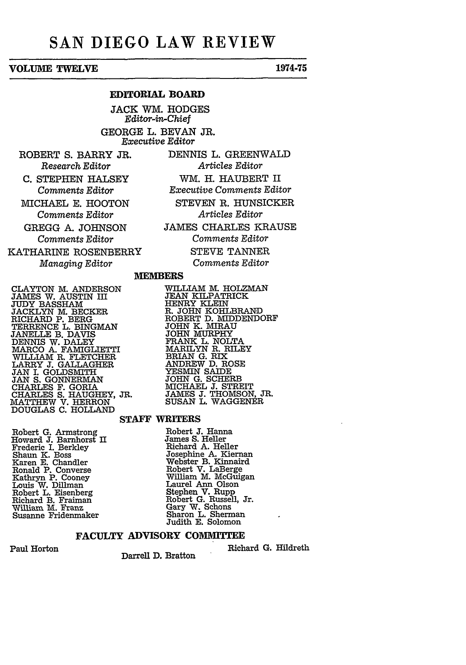# **SAN DIEGO LAW REVIEW**

## **VOLUME TWELVE 1974-75**

## **EDITORIAL BOARD**

**JACK** WM. **HODGES** *Editor-in-Chief* **GEORGE** L. **BEVAN** JR. *Executive Editor*

ROBERT **S.** BARRY JR. *Research Editor*

**C. STEPHEN** HALSEY *Comments Editor*

MICHAEL E. HOOTON *Comments Editor*

GREGG A. JOHNSON *Comments* Editor

KATHARINE ROSENBERRY *Managing Editor*

DENNIS L. GREENWALD *Articles Editor* WM. H. HAUBERT II *Executive Comments Editor* STEVEN R. HUNSICKER *Articles Editor* JAMES CHARLES KRAUSE *Comments Editor* STEVE TANNER

*Comments Editor*

WILLIAM M. HOLZMAN<br>JEAN KILPATRICK

HENRY KLEIN R. JOHN KOHLBRAND ROBERT **D.** MIDDENDORF **JOHN** K. MIRAU

JOHN MURPHY FRANK L. NOLTA MARILYN R. RILEY BRIAN **G.** RIX ANDREW **D.** ROSE YESMIN SAIDE **JOHN G.** SCHERB MICHAEL **J.** STREIT

## *M* **EMBERS**

**CLAYTON** M. ANDERSON JAMES W. AUSTIN III **JUDY** BASSHAM JACKLYN **M. BECKER** RICHARD P. BERG TERRENCE L. BINGMAN **JANELLE** B. DAVIS DENNIS W. DALEY MARCO **A.** FAMIGLIETTI WILLIAM R. FLETCHER LARRY **J.** GALLAGHER **JAN** I. **GOLDSMITH JAN S. GONNERMAN** CHARLES F. GORIA CHARLES **S.** HAUGHEY, JR. MATTHEW V. HERRON **DOUGLAS C. HOLLAND**

Robert **G.** Arms Howard **J.** Barn Frederic **I.** Berl Shaun **K.** Boss Karen **E.** Chand Ronald P. Cony Kathryn P. Coo Louis W. Dillman Robert L. Eisen Richard B. Frai **William M. Fra** Susanne Friden

## JAMES **J.** THOMSON, JR. SUSAN L. WAGGENER

#### **STAFF WRITERS**

strong Robert **J.** Hanna horst **II** James **S.** Heller **ley** Richard **A.** Heller Josephine **A.** Kiernan Iler Webster B. Kinnaird erse Robert V. LaBerge William M. McGuigan an Laurel Ann Olson berg Stephen V. Rupp man Robert G. Russell, Jr. nz Gary W. Schons maker Sharon L. Sherman Judith **E.** Solomon

### **FACULTY ADVISORY COMMITTEE**

Paul Horton

Darrell **D.** Bratton

Richard **G.** Hildreth